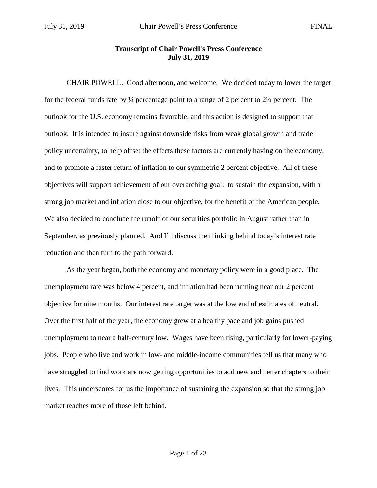## **Transcript of Chair Powell's Press Conference July 31, 2019**

CHAIR POWELL. Good afternoon, and welcome. We decided today to lower the target for the federal funds rate by ¼ percentage point to a range of 2 percent to 2¼ percent. The outlook for the U.S. economy remains favorable, and this action is designed to support that outlook. It is intended to insure against downside risks from weak global growth and trade policy uncertainty, to help offset the effects these factors are currently having on the economy, and to promote a faster return of inflation to our symmetric 2 percent objective. All of these objectives will support achievement of our overarching goal: to sustain the expansion, with a strong job market and inflation close to our objective, for the benefit of the American people. We also decided to conclude the runoff of our securities portfolio in August rather than in September, as previously planned. And I'll discuss the thinking behind today's interest rate reduction and then turn to the path forward.

As the year began, both the economy and monetary policy were in a good place. The unemployment rate was below 4 percent, and inflation had been running near our 2 percent objective for nine months. Our interest rate target was at the low end of estimates of neutral. Over the first half of the year, the economy grew at a healthy pace and job gains pushed unemployment to near a half-century low. Wages have been rising, particularly for lower-paying jobs. People who live and work in low- and middle-income communities tell us that many who have struggled to find work are now getting opportunities to add new and better chapters to their lives. This underscores for us the importance of sustaining the expansion so that the strong job market reaches more of those left behind.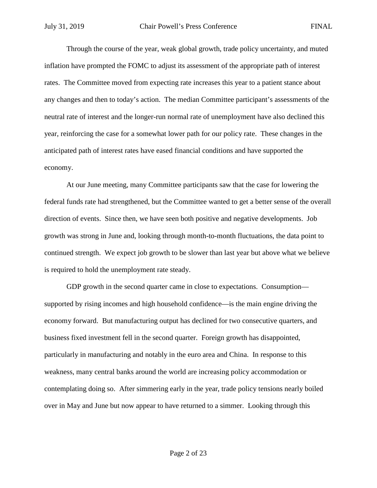Through the course of the year, weak global growth, trade policy uncertainty, and muted inflation have prompted the FOMC to adjust its assessment of the appropriate path of interest rates. The Committee moved from expecting rate increases this year to a patient stance about any changes and then to today's action. The median Committee participant's assessments of the neutral rate of interest and the longer-run normal rate of unemployment have also declined this year, reinforcing the case for a somewhat lower path for our policy rate. These changes in the anticipated path of interest rates have eased financial conditions and have supported the economy.

At our June meeting, many Committee participants saw that the case for lowering the federal funds rate had strengthened, but the Committee wanted to get a better sense of the overall direction of events. Since then, we have seen both positive and negative developments. Job growth was strong in June and, looking through month-to-month fluctuations, the data point to continued strength. We expect job growth to be slower than last year but above what we believe is required to hold the unemployment rate steady.

GDP growth in the second quarter came in close to expectations. Consumption supported by rising incomes and high household confidence—is the main engine driving the economy forward. But manufacturing output has declined for two consecutive quarters, and business fixed investment fell in the second quarter. Foreign growth has disappointed, particularly in manufacturing and notably in the euro area and China. In response to this weakness, many central banks around the world are increasing policy accommodation or contemplating doing so. After simmering early in the year, trade policy tensions nearly boiled over in May and June but now appear to have returned to a simmer. Looking through this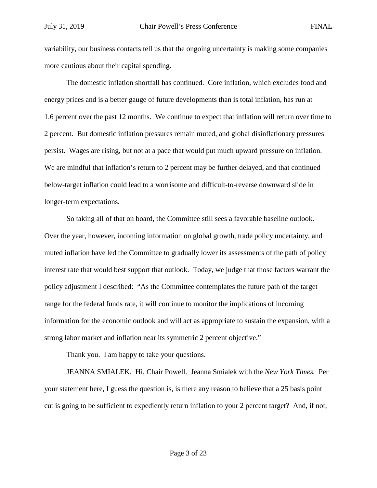variability, our business contacts tell us that the ongoing uncertainty is making some companies more cautious about their capital spending.

The domestic inflation shortfall has continued. Core inflation, which excludes food and energy prices and is a better gauge of future developments than is total inflation, has run at 1.6 percent over the past 12 months. We continue to expect that inflation will return over time to 2 percent. But domestic inflation pressures remain muted, and global disinflationary pressures persist. Wages are rising, but not at a pace that would put much upward pressure on inflation. We are mindful that inflation's return to 2 percent may be further delayed, and that continued below-target inflation could lead to a worrisome and difficult-to-reverse downward slide in longer-term expectations.

So taking all of that on board, the Committee still sees a favorable baseline outlook. Over the year, however, incoming information on global growth, trade policy uncertainty, and muted inflation have led the Committee to gradually lower its assessments of the path of policy interest rate that would best support that outlook. Today, we judge that those factors warrant the policy adjustment I described: "As the Committee contemplates the future path of the target range for the federal funds rate, it will continue to monitor the implications of incoming information for the economic outlook and will act as appropriate to sustain the expansion, with a strong labor market and inflation near its symmetric 2 percent objective."

Thank you. I am happy to take your questions.

JEANNA SMIALEK. Hi, Chair Powell. Jeanna Smialek with the *New York Times.* Per your statement here, I guess the question is, is there any reason to believe that a 25 basis point cut is going to be sufficient to expediently return inflation to your 2 percent target? And, if not,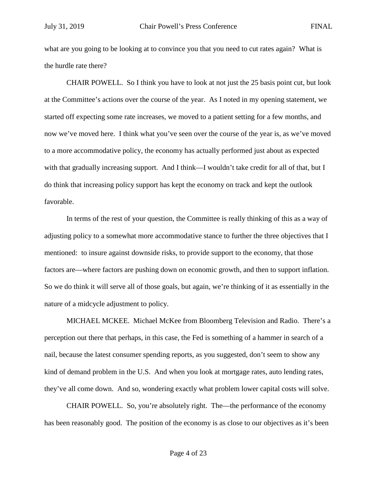what are you going to be looking at to convince you that you need to cut rates again? What is the hurdle rate there?

CHAIR POWELL. So I think you have to look at not just the 25 basis point cut, but look at the Committee's actions over the course of the year. As I noted in my opening statement, we started off expecting some rate increases, we moved to a patient setting for a few months, and now we've moved here. I think what you've seen over the course of the year is, as we've moved to a more accommodative policy, the economy has actually performed just about as expected with that gradually increasing support. And I think—I wouldn't take credit for all of that, but I do think that increasing policy support has kept the economy on track and kept the outlook favorable.

In terms of the rest of your question, the Committee is really thinking of this as a way of adjusting policy to a somewhat more accommodative stance to further the three objectives that I mentioned: to insure against downside risks, to provide support to the economy, that those factors are—where factors are pushing down on economic growth, and then to support inflation. So we do think it will serve all of those goals, but again, we're thinking of it as essentially in the nature of a midcycle adjustment to policy.

MICHAEL MCKEE. Michael McKee from Bloomberg Television and Radio. There's a perception out there that perhaps, in this case, the Fed is something of a hammer in search of a nail, because the latest consumer spending reports, as you suggested, don't seem to show any kind of demand problem in the U.S. And when you look at mortgage rates, auto lending rates, they've all come down. And so, wondering exactly what problem lower capital costs will solve.

CHAIR POWELL. So, you're absolutely right. The—the performance of the economy has been reasonably good. The position of the economy is as close to our objectives as it's been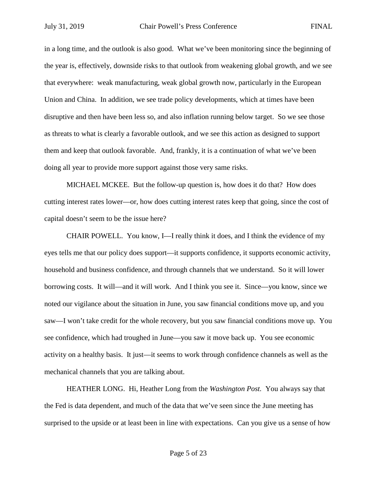in a long time, and the outlook is also good. What we've been monitoring since the beginning of the year is, effectively, downside risks to that outlook from weakening global growth, and we see that everywhere: weak manufacturing, weak global growth now, particularly in the European Union and China. In addition, we see trade policy developments, which at times have been disruptive and then have been less so, and also inflation running below target. So we see those as threats to what is clearly a favorable outlook, and we see this action as designed to support them and keep that outlook favorable. And, frankly, it is a continuation of what we've been doing all year to provide more support against those very same risks.

MICHAEL MCKEE. But the follow-up question is, how does it do that? How does cutting interest rates lower—or, how does cutting interest rates keep that going, since the cost of capital doesn't seem to be the issue here?

CHAIR POWELL. You know, I—I really think it does, and I think the evidence of my eyes tells me that our policy does support—it supports confidence, it supports economic activity, household and business confidence, and through channels that we understand. So it will lower borrowing costs. It will—and it will work. And I think you see it. Since—you know, since we noted our vigilance about the situation in June, you saw financial conditions move up, and you saw—I won't take credit for the whole recovery, but you saw financial conditions move up. You see confidence, which had troughed in June—you saw it move back up. You see economic activity on a healthy basis. It just—it seems to work through confidence channels as well as the mechanical channels that you are talking about.

HEATHER LONG. Hi, Heather Long from the *Washington Post.* You always say that the Fed is data dependent, and much of the data that we've seen since the June meeting has surprised to the upside or at least been in line with expectations. Can you give us a sense of how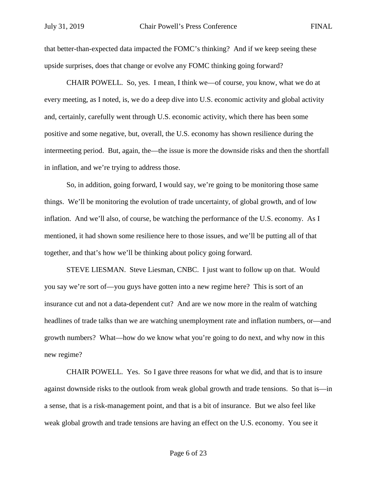that better-than-expected data impacted the FOMC's thinking? And if we keep seeing these upside surprises, does that change or evolve any FOMC thinking going forward?

CHAIR POWELL. So, yes. I mean, I think we—of course, you know, what we do at every meeting, as I noted, is, we do a deep dive into U.S. economic activity and global activity and, certainly, carefully went through U.S. economic activity, which there has been some positive and some negative, but, overall, the U.S. economy has shown resilience during the intermeeting period. But, again, the—the issue is more the downside risks and then the shortfall in inflation, and we're trying to address those.

So, in addition, going forward, I would say, we're going to be monitoring those same things. We'll be monitoring the evolution of trade uncertainty, of global growth, and of low inflation. And we'll also, of course, be watching the performance of the U.S. economy. As I mentioned, it had shown some resilience here to those issues, and we'll be putting all of that together, and that's how we'll be thinking about policy going forward.

STEVE LIESMAN. Steve Liesman, CNBC. I just want to follow up on that. Would you say we're sort of—you guys have gotten into a new regime here? This is sort of an insurance cut and not a data-dependent cut? And are we now more in the realm of watching headlines of trade talks than we are watching unemployment rate and inflation numbers, or—and growth numbers? What—how do we know what you're going to do next, and why now in this new regime?

CHAIR POWELL. Yes. So I gave three reasons for what we did, and that is to insure against downside risks to the outlook from weak global growth and trade tensions. So that is—in a sense, that is a risk-management point, and that is a bit of insurance. But we also feel like weak global growth and trade tensions are having an effect on the U.S. economy. You see it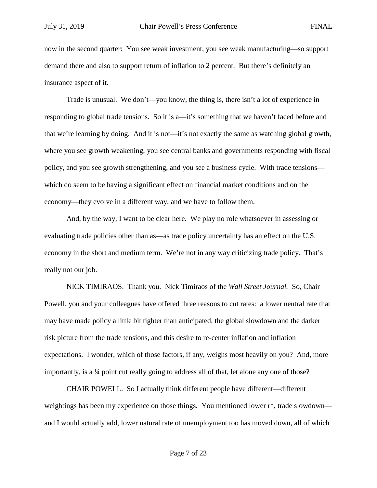now in the second quarter: You see weak investment, you see weak manufacturing—so support demand there and also to support return of inflation to 2 percent. But there's definitely an insurance aspect of it.

Trade is unusual. We don't—you know, the thing is, there isn't a lot of experience in responding to global trade tensions. So it is a—it's something that we haven't faced before and that we're learning by doing. And it is not—it's not exactly the same as watching global growth, where you see growth weakening, you see central banks and governments responding with fiscal policy, and you see growth strengthening, and you see a business cycle. With trade tensions which do seem to be having a significant effect on financial market conditions and on the economy—they evolve in a different way, and we have to follow them.

And, by the way, I want to be clear here. We play no role whatsoever in assessing or evaluating trade policies other than as—as trade policy uncertainty has an effect on the U.S. economy in the short and medium term. We're not in any way criticizing trade policy. That's really not our job.

NICK TIMIRAOS. Thank you. Nick Timiraos of the *Wall Street Journal.* So, Chair Powell, you and your colleagues have offered three reasons to cut rates: a lower neutral rate that may have made policy a little bit tighter than anticipated, the global slowdown and the darker risk picture from the trade tensions, and this desire to re-center inflation and inflation expectations. I wonder, which of those factors, if any, weighs most heavily on you? And, more importantly, is a ¼ point cut really going to address all of that, let alone any one of those?

CHAIR POWELL. So I actually think different people have different—different weightings has been my experience on those things. You mentioned lower r\*, trade slowdown and I would actually add, lower natural rate of unemployment too has moved down, all of which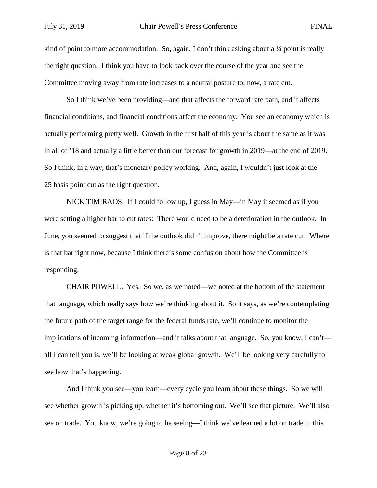kind of point to more accommodation. So, again, I don't think asking about a  $\frac{1}{4}$  point is really the right question. I think you have to look back over the course of the year and see the Committee moving away from rate increases to a neutral posture to, now, a rate cut.

So I think we've been providing—and that affects the forward rate path, and it affects financial conditions, and financial conditions affect the economy. You see an economy which is actually performing pretty well. Growth in the first half of this year is about the same as it was in all of '18 and actually a little better than our forecast for growth in 2019—at the end of 2019. So I think, in a way, that's monetary policy working. And, again, I wouldn't just look at the 25 basis point cut as the right question.

NICK TIMIRAOS. If I could follow up, I guess in May—in May it seemed as if you were setting a higher bar to cut rates: There would need to be a deterioration in the outlook. In June, you seemed to suggest that if the outlook didn't improve, there might be a rate cut. Where is that bar right now, because I think there's some confusion about how the Committee is responding.

CHAIR POWELL. Yes. So we, as we noted—we noted at the bottom of the statement that language, which really says how we're thinking about it. So it says, as we're contemplating the future path of the target range for the federal funds rate, we'll continue to monitor the implications of incoming information—and it talks about that language. So, you know, I can't all I can tell you is, we'll be looking at weak global growth. We'll be looking very carefully to see how that's happening.

And I think you see—you learn—every cycle you learn about these things. So we will see whether growth is picking up, whether it's bottoming out. We'll see that picture. We'll also see on trade. You know, we're going to be seeing—I think we've learned a lot on trade in this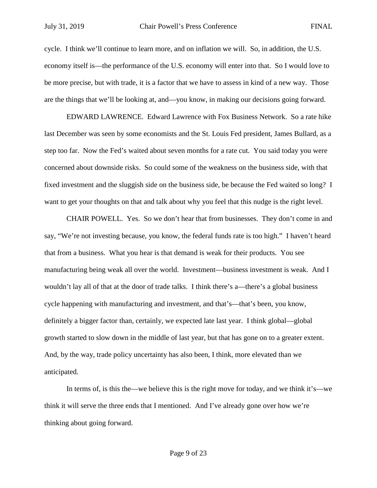cycle. I think we'll continue to learn more, and on inflation we will. So, in addition, the U.S. economy itself is—the performance of the U.S. economy will enter into that. So I would love to be more precise, but with trade, it is a factor that we have to assess in kind of a new way. Those are the things that we'll be looking at, and—you know, in making our decisions going forward.

EDWARD LAWRENCE. Edward Lawrence with Fox Business Network. So a rate hike last December was seen by some economists and the St. Louis Fed president, James Bullard, as a step too far. Now the Fed's waited about seven months for a rate cut. You said today you were concerned about downside risks. So could some of the weakness on the business side, with that fixed investment and the sluggish side on the business side, be because the Fed waited so long? I want to get your thoughts on that and talk about why you feel that this nudge is the right level.

CHAIR POWELL. Yes. So we don't hear that from businesses. They don't come in and say, "We're not investing because, you know, the federal funds rate is too high." I haven't heard that from a business. What you hear is that demand is weak for their products. You see manufacturing being weak all over the world. Investment—business investment is weak. And I wouldn't lay all of that at the door of trade talks. I think there's a—there's a global business cycle happening with manufacturing and investment, and that's—that's been, you know, definitely a bigger factor than, certainly, we expected late last year. I think global—global growth started to slow down in the middle of last year, but that has gone on to a greater extent. And, by the way, trade policy uncertainty has also been, I think, more elevated than we anticipated.

In terms of, is this the—we believe this is the right move for today, and we think it's—we think it will serve the three ends that I mentioned. And I've already gone over how we're thinking about going forward.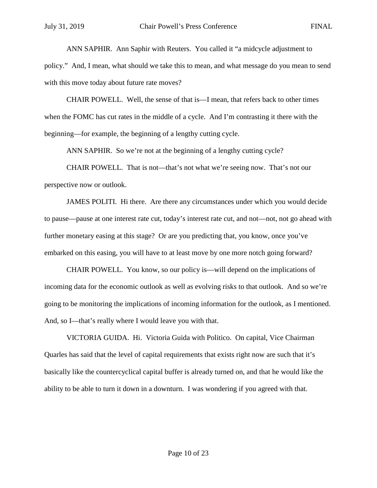ANN SAPHIR. Ann Saphir with Reuters. You called it "a midcycle adjustment to policy." And, I mean, what should we take this to mean, and what message do you mean to send with this move today about future rate moves?

CHAIR POWELL. Well, the sense of that is—I mean, that refers back to other times when the FOMC has cut rates in the middle of a cycle. And I'm contrasting it there with the beginning—for example, the beginning of a lengthy cutting cycle.

ANN SAPHIR. So we're not at the beginning of a lengthy cutting cycle?

CHAIR POWELL. That is not—that's not what we're seeing now. That's not our perspective now or outlook.

JAMES POLITI. Hi there. Are there any circumstances under which you would decide to pause—pause at one interest rate cut, today's interest rate cut, and not—not, not go ahead with further monetary easing at this stage? Or are you predicting that, you know, once you've embarked on this easing, you will have to at least move by one more notch going forward?

CHAIR POWELL. You know, so our policy is—will depend on the implications of incoming data for the economic outlook as well as evolving risks to that outlook. And so we're going to be monitoring the implications of incoming information for the outlook, as I mentioned. And, so I—that's really where I would leave you with that.

VICTORIA GUIDA. Hi. Victoria Guida with Politico. On capital, Vice Chairman Quarles has said that the level of capital requirements that exists right now are such that it's basically like the countercyclical capital buffer is already turned on, and that he would like the ability to be able to turn it down in a downturn. I was wondering if you agreed with that.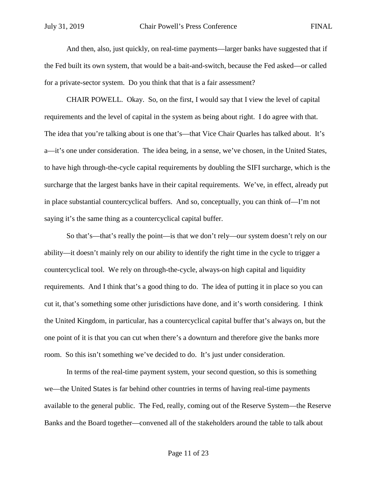And then, also, just quickly, on real-time payments—larger banks have suggested that if the Fed built its own system, that would be a bait-and-switch, because the Fed asked—or called for a private-sector system. Do you think that that is a fair assessment?

CHAIR POWELL. Okay. So, on the first, I would say that I view the level of capital requirements and the level of capital in the system as being about right. I do agree with that. The idea that you're talking about is one that's—that Vice Chair Quarles has talked about. It's a—it's one under consideration. The idea being, in a sense, we've chosen, in the United States, to have high through-the-cycle capital requirements by doubling the SIFI surcharge, which is the surcharge that the largest banks have in their capital requirements. We've, in effect, already put in place substantial countercyclical buffers. And so, conceptually, you can think of—I'm not saying it's the same thing as a countercyclical capital buffer.

So that's—that's really the point—is that we don't rely—our system doesn't rely on our ability—it doesn't mainly rely on our ability to identify the right time in the cycle to trigger a countercyclical tool. We rely on through-the-cycle, always-on high capital and liquidity requirements. And I think that's a good thing to do. The idea of putting it in place so you can cut it, that's something some other jurisdictions have done, and it's worth considering. I think the United Kingdom, in particular, has a countercyclical capital buffer that's always on, but the one point of it is that you can cut when there's a downturn and therefore give the banks more room. So this isn't something we've decided to do. It's just under consideration.

In terms of the real-time payment system, your second question, so this is something we—the United States is far behind other countries in terms of having real-time payments available to the general public. The Fed, really, coming out of the Reserve System—the Reserve Banks and the Board together—convened all of the stakeholders around the table to talk about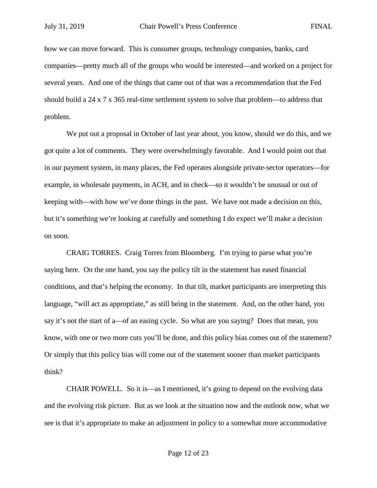how we can move forward. This is consumer groups, technology companies, banks, card companies—pretty much all of the groups who would be interested—and worked on a project for several years. And one of the things that came out of that was a recommendation that the Fed should build a 24 x 7 x 365 real-time settlement system to solve that problem—to address that problem.

We put out a proposal in October of last year about, you know, should we do this, and we got quite a lot of comments. They were overwhelmingly favorable. And I would point out that in our payment system, in many places, the Fed operates alongside private-sector operators—for example, in wholesale payments, in ACH, and in check—so it wouldn't be unusual or out of keeping with—with how we've done things in the past. We have not made a decision on this, but it's something we're looking at carefully and something I do expect we'll make a decision on soon.

CRAIG TORRES. Craig Torres from Bloomberg. I'm trying to parse what you're saying here. On the one hand, you say the policy tilt in the statement has eased financial conditions, and that's helping the economy. In that tilt, market participants are interpreting this language, "will act as appropriate," as still being in the statement. And, on the other hand, you say it's not the start of a—of an easing cycle. So what are you saying? Does that mean, you know, with one or two more cuts you'll be done, and this policy bias comes out of the statement? Or simply that this policy bias will come out of the statement sooner than market participants think?

CHAIR POWELL. So it is—as I mentioned, it's going to depend on the evolving data and the evolving risk picture. But as we look at the situation now and the outlook now, what we see is that it's appropriate to make an adjustment in policy to a somewhat more accommodative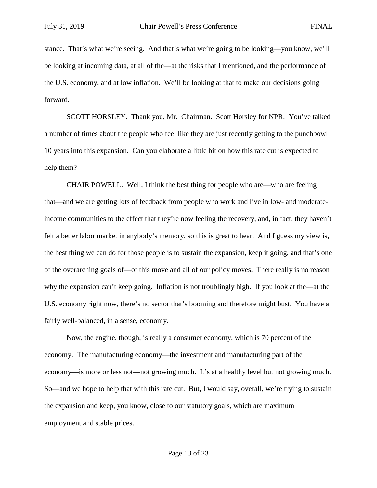stance. That's what we're seeing. And that's what we're going to be looking—you know, we'll be looking at incoming data, at all of the—at the risks that I mentioned, and the performance of the U.S. economy, and at low inflation. We'll be looking at that to make our decisions going forward.

SCOTT HORSLEY. Thank you, Mr. Chairman. Scott Horsley for NPR. You've talked a number of times about the people who feel like they are just recently getting to the punchbowl 10 years into this expansion. Can you elaborate a little bit on how this rate cut is expected to help them?

CHAIR POWELL. Well, I think the best thing for people who are—who are feeling that—and we are getting lots of feedback from people who work and live in low- and moderateincome communities to the effect that they're now feeling the recovery, and, in fact, they haven't felt a better labor market in anybody's memory, so this is great to hear. And I guess my view is, the best thing we can do for those people is to sustain the expansion, keep it going, and that's one of the overarching goals of—of this move and all of our policy moves. There really is no reason why the expansion can't keep going. Inflation is not troublingly high. If you look at the—at the U.S. economy right now, there's no sector that's booming and therefore might bust. You have a fairly well-balanced, in a sense, economy.

Now, the engine, though, is really a consumer economy, which is 70 percent of the economy. The manufacturing economy—the investment and manufacturing part of the economy—is more or less not—not growing much. It's at a healthy level but not growing much. So—and we hope to help that with this rate cut. But, I would say, overall, we're trying to sustain the expansion and keep, you know, close to our statutory goals, which are maximum employment and stable prices.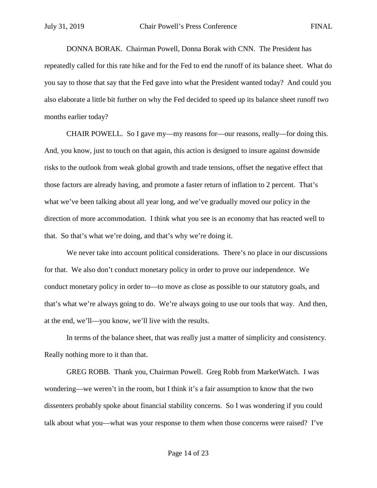DONNA BORAK. Chairman Powell, Donna Borak with CNN. The President has repeatedly called for this rate hike and for the Fed to end the runoff of its balance sheet. What do you say to those that say that the Fed gave into what the President wanted today? And could you also elaborate a little bit further on why the Fed decided to speed up its balance sheet runoff two months earlier today?

CHAIR POWELL. So I gave my—my reasons for—our reasons, really—for doing this. And, you know, just to touch on that again, this action is designed to insure against downside risks to the outlook from weak global growth and trade tensions, offset the negative effect that those factors are already having, and promote a faster return of inflation to 2 percent. That's what we've been talking about all year long, and we've gradually moved our policy in the direction of more accommodation. I think what you see is an economy that has reacted well to that. So that's what we're doing, and that's why we're doing it.

We never take into account political considerations. There's no place in our discussions for that. We also don't conduct monetary policy in order to prove our independence. We conduct monetary policy in order to—to move as close as possible to our statutory goals, and that's what we're always going to do. We're always going to use our tools that way. And then, at the end, we'll—you know, we'll live with the results.

In terms of the balance sheet, that was really just a matter of simplicity and consistency. Really nothing more to it than that.

GREG ROBB. Thank you, Chairman Powell. Greg Robb from MarketWatch. I was wondering—we weren't in the room, but I think it's a fair assumption to know that the two dissenters probably spoke about financial stability concerns. So I was wondering if you could talk about what you—what was your response to them when those concerns were raised? I've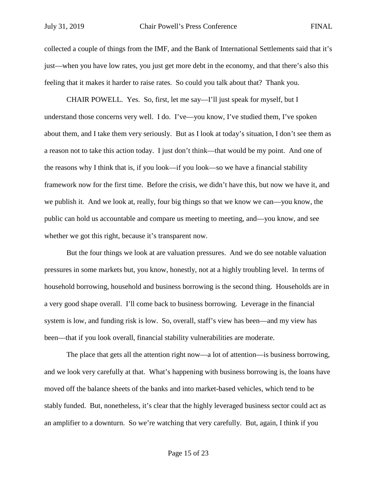collected a couple of things from the IMF, and the Bank of International Settlements said that it's just—when you have low rates, you just get more debt in the economy, and that there's also this feeling that it makes it harder to raise rates. So could you talk about that? Thank you.

CHAIR POWELL. Yes. So, first, let me say—I'll just speak for myself, but I understand those concerns very well. I do. I've—you know, I've studied them, I've spoken about them, and I take them very seriously. But as I look at today's situation, I don't see them as a reason not to take this action today. I just don't think—that would be my point. And one of the reasons why I think that is, if you look—if you look—so we have a financial stability framework now for the first time. Before the crisis, we didn't have this, but now we have it, and we publish it. And we look at, really, four big things so that we know we can—you know, the public can hold us accountable and compare us meeting to meeting, and—you know, and see whether we got this right, because it's transparent now.

But the four things we look at are valuation pressures. And we do see notable valuation pressures in some markets but, you know, honestly, not at a highly troubling level. In terms of household borrowing, household and business borrowing is the second thing. Households are in a very good shape overall. I'll come back to business borrowing. Leverage in the financial system is low, and funding risk is low. So, overall, staff's view has been—and my view has been—that if you look overall, financial stability vulnerabilities are moderate.

The place that gets all the attention right now—a lot of attention—is business borrowing, and we look very carefully at that. What's happening with business borrowing is, the loans have moved off the balance sheets of the banks and into market-based vehicles, which tend to be stably funded. But, nonetheless, it's clear that the highly leveraged business sector could act as an amplifier to a downturn. So we're watching that very carefully. But, again, I think if you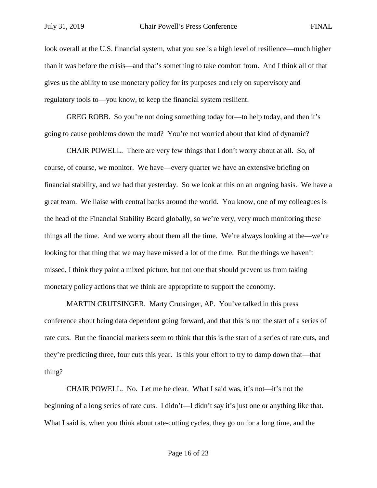look overall at the U.S. financial system, what you see is a high level of resilience—much higher than it was before the crisis—and that's something to take comfort from. And I think all of that gives us the ability to use monetary policy for its purposes and rely on supervisory and regulatory tools to—you know, to keep the financial system resilient.

GREG ROBB. So you're not doing something today for—to help today, and then it's going to cause problems down the road? You're not worried about that kind of dynamic?

CHAIR POWELL. There are very few things that I don't worry about at all. So, of course, of course, we monitor. We have—every quarter we have an extensive briefing on financial stability, and we had that yesterday. So we look at this on an ongoing basis. We have a great team. We liaise with central banks around the world. You know, one of my colleagues is the head of the Financial Stability Board globally, so we're very, very much monitoring these things all the time. And we worry about them all the time. We're always looking at the—we're looking for that thing that we may have missed a lot of the time. But the things we haven't missed, I think they paint a mixed picture, but not one that should prevent us from taking monetary policy actions that we think are appropriate to support the economy.

MARTIN CRUTSINGER. Marty Crutsinger, AP. You've talked in this press conference about being data dependent going forward, and that this is not the start of a series of rate cuts. But the financial markets seem to think that this is the start of a series of rate cuts, and they're predicting three, four cuts this year. Is this your effort to try to damp down that—that thing?

CHAIR POWELL. No. Let me be clear. What I said was, it's not—it's not the beginning of a long series of rate cuts. I didn't—I didn't say it's just one or anything like that. What I said is, when you think about rate-cutting cycles, they go on for a long time, and the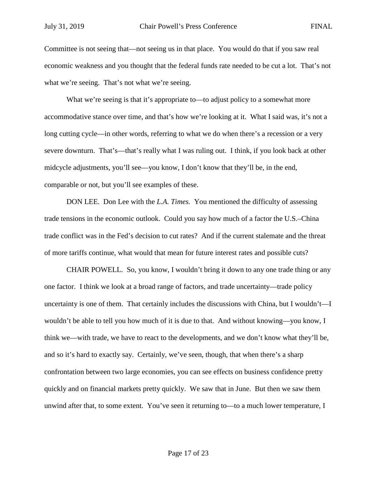Committee is not seeing that—not seeing us in that place. You would do that if you saw real economic weakness and you thought that the federal funds rate needed to be cut a lot. That's not what we're seeing. That's not what we're seeing.

What we're seeing is that it's appropriate to—to adjust policy to a somewhat more accommodative stance over time, and that's how we're looking at it. What I said was, it's not a long cutting cycle—in other words, referring to what we do when there's a recession or a very severe downturn. That's—that's really what I was ruling out. I think, if you look back at other midcycle adjustments, you'll see—you know, I don't know that they'll be, in the end, comparable or not, but you'll see examples of these.

DON LEE. Don Lee with the *L.A. Times.* You mentioned the difficulty of assessing trade tensions in the economic outlook. Could you say how much of a factor the U.S.–China trade conflict was in the Fed's decision to cut rates? And if the current stalemate and the threat of more tariffs continue, what would that mean for future interest rates and possible cuts?

CHAIR POWELL. So, you know, I wouldn't bring it down to any one trade thing or any one factor. I think we look at a broad range of factors, and trade uncertainty—trade policy uncertainty is one of them. That certainly includes the discussions with China, but I wouldn't—I wouldn't be able to tell you how much of it is due to that. And without knowing—you know, I think we—with trade, we have to react to the developments, and we don't know what they'll be, and so it's hard to exactly say. Certainly, we've seen, though, that when there's a sharp confrontation between two large economies, you can see effects on business confidence pretty quickly and on financial markets pretty quickly. We saw that in June. But then we saw them unwind after that, to some extent. You've seen it returning to—to a much lower temperature, I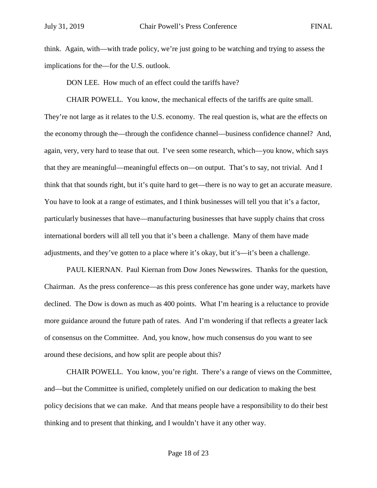think. Again, with—with trade policy, we're just going to be watching and trying to assess the implications for the—for the U.S. outlook.

DON LEE. How much of an effect could the tariffs have?

CHAIR POWELL. You know, the mechanical effects of the tariffs are quite small. They're not large as it relates to the U.S. economy. The real question is, what are the effects on the economy through the—through the confidence channel—business confidence channel? And, again, very, very hard to tease that out. I've seen some research, which—you know, which says that they are meaningful—meaningful effects on—on output. That's to say, not trivial. And I think that that sounds right, but it's quite hard to get—there is no way to get an accurate measure. You have to look at a range of estimates, and I think businesses will tell you that it's a factor, particularly businesses that have—manufacturing businesses that have supply chains that cross international borders will all tell you that it's been a challenge. Many of them have made adjustments, and they've gotten to a place where it's okay, but it's—it's been a challenge.

PAUL KIERNAN. Paul Kiernan from Dow Jones Newswires. Thanks for the question, Chairman. As the press conference—as this press conference has gone under way, markets have declined. The Dow is down as much as 400 points. What I'm hearing is a reluctance to provide more guidance around the future path of rates. And I'm wondering if that reflects a greater lack of consensus on the Committee. And, you know, how much consensus do you want to see around these decisions, and how split are people about this?

CHAIR POWELL. You know, you're right. There's a range of views on the Committee, and—but the Committee is unified, completely unified on our dedication to making the best policy decisions that we can make. And that means people have a responsibility to do their best thinking and to present that thinking, and I wouldn't have it any other way.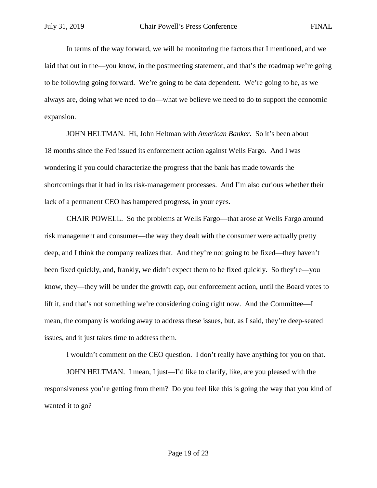In terms of the way forward, we will be monitoring the factors that I mentioned, and we laid that out in the—you know, in the postmeeting statement, and that's the roadmap we're going to be following going forward. We're going to be data dependent. We're going to be, as we always are, doing what we need to do—what we believe we need to do to support the economic expansion.

JOHN HELTMAN. Hi, John Heltman with *American Banker.* So it's been about 18 months since the Fed issued its enforcement action against Wells Fargo. And I was wondering if you could characterize the progress that the bank has made towards the shortcomings that it had in its risk-management processes. And I'm also curious whether their lack of a permanent CEO has hampered progress, in your eyes.

CHAIR POWELL. So the problems at Wells Fargo—that arose at Wells Fargo around risk management and consumer—the way they dealt with the consumer were actually pretty deep, and I think the company realizes that. And they're not going to be fixed—they haven't been fixed quickly, and, frankly, we didn't expect them to be fixed quickly. So they're—you know, they—they will be under the growth cap, our enforcement action, until the Board votes to lift it, and that's not something we're considering doing right now. And the Committee—I mean, the company is working away to address these issues, but, as I said, they're deep-seated issues, and it just takes time to address them.

I wouldn't comment on the CEO question. I don't really have anything for you on that.

JOHN HELTMAN. I mean, I just—I'd like to clarify, like, are you pleased with the responsiveness you're getting from them? Do you feel like this is going the way that you kind of wanted it to go?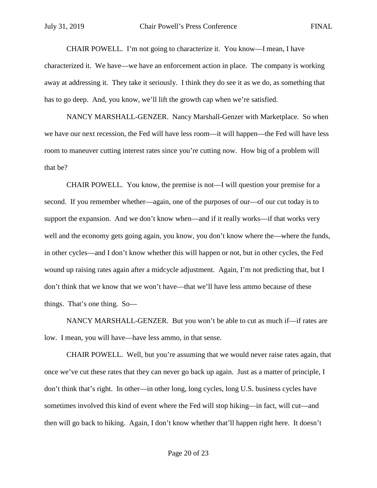CHAIR POWELL. I'm not going to characterize it. You know—I mean, I have characterized it. We have—we have an enforcement action in place. The company is working away at addressing it. They take it seriously. I think they do see it as we do, as something that has to go deep. And, you know, we'll lift the growth cap when we're satisfied.

NANCY MARSHALL-GENZER. Nancy Marshall-Genzer with Marketplace. So when we have our next recession, the Fed will have less room—it will happen—the Fed will have less room to maneuver cutting interest rates since you're cutting now. How big of a problem will that be?

CHAIR POWELL. You know, the premise is not—I will question your premise for a second. If you remember whether—again, one of the purposes of our—of our cut today is to support the expansion. And we don't know when—and if it really works—if that works very well and the economy gets going again, you know, you don't know where the—where the funds, in other cycles—and I don't know whether this will happen or not, but in other cycles, the Fed wound up raising rates again after a midcycle adjustment. Again, I'm not predicting that, but I don't think that we know that we won't have—that we'll have less ammo because of these things. That's one thing. So—

NANCY MARSHALL-GENZER. But you won't be able to cut as much if—if rates are low. I mean, you will have—have less ammo, in that sense.

CHAIR POWELL. Well, but you're assuming that we would never raise rates again, that once we've cut these rates that they can never go back up again. Just as a matter of principle, I don't think that's right. In other—in other long, long cycles, long U.S. business cycles have sometimes involved this kind of event where the Fed will stop hiking—in fact, will cut—and then will go back to hiking. Again, I don't know whether that'll happen right here. It doesn't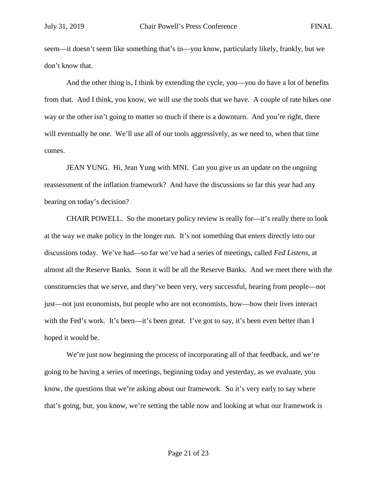seem—it doesn't seem like something that's in—you know, particularly likely, frankly, but we don't know that.

And the other thing is, I think by extending the cycle, you—you do have a lot of benefits from that. And I think, you know, we will use the tools that we have. A couple of rate hikes one way or the other isn't going to matter so much if there is a downturn. And you're right, there will eventually be one. We'll use all of our tools aggressively, as we need to, when that time comes.

JEAN YUNG. Hi, Jean Yung with MNI. Can you give us an update on the ongoing reassessment of the inflation framework? And have the discussions so far this year had any bearing on today's decision?

CHAIR POWELL. So the monetary policy review is really for—it's really there to look at the way we make policy in the longer run. It's not something that enters directly into our discussions today. We've had—so far we've had a series of meetings, called *Fed Listens,* at almost all the Reserve Banks. Soon it will be all the Reserve Banks. And we meet there with the constituencies that we serve, and they've been very, very successful, hearing from people—not just—not just economists, but people who are not economists, how—how their lives interact with the Fed's work. It's been—it's been great. I've got to say, it's been even better than I hoped it would be.

We're just now beginning the process of incorporating all of that feedback, and we're going to be having a series of meetings, beginning today and yesterday, as we evaluate, you know, the questions that we're asking about our framework. So it's very early to say where that's going, but, you know, we're setting the table now and looking at what our framework is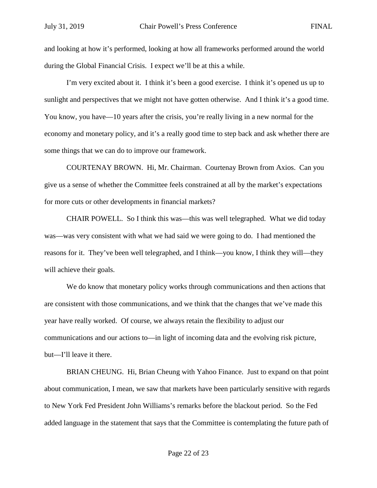and looking at how it's performed, looking at how all frameworks performed around the world during the Global Financial Crisis. I expect we'll be at this a while.

I'm very excited about it. I think it's been a good exercise. I think it's opened us up to sunlight and perspectives that we might not have gotten otherwise. And I think it's a good time. You know, you have—10 years after the crisis, you're really living in a new normal for the economy and monetary policy, and it's a really good time to step back and ask whether there are some things that we can do to improve our framework.

COURTENAY BROWN. Hi, Mr. Chairman. Courtenay Brown from Axios. Can you give us a sense of whether the Committee feels constrained at all by the market's expectations for more cuts or other developments in financial markets?

CHAIR POWELL. So I think this was—this was well telegraphed. What we did today was—was very consistent with what we had said we were going to do. I had mentioned the reasons for it. They've been well telegraphed, and I think—you know, I think they will—they will achieve their goals.

We do know that monetary policy works through communications and then actions that are consistent with those communications, and we think that the changes that we've made this year have really worked. Of course, we always retain the flexibility to adjust our communications and our actions to—in light of incoming data and the evolving risk picture, but—I'll leave it there.

BRIAN CHEUNG. Hi, Brian Cheung with Yahoo Finance. Just to expand on that point about communication, I mean, we saw that markets have been particularly sensitive with regards to New York Fed President John Williams's remarks before the blackout period. So the Fed added language in the statement that says that the Committee is contemplating the future path of